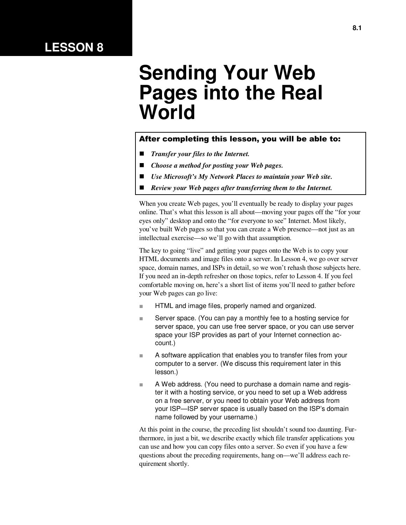### **LESSON 8**

# **Sending Your Web Pages into the Real World**

#### After completing this lesson, you will be able to:

- *Transfer your files to the Internet.*
- *Choose a method for posting your Web pages.*
- *Use Microsoft's My Network Places to maintain your Web site.*
- *Review your Web pages after transferring them to the Internet.*

When you create Web pages, you'll eventually be ready to display your pages online. That's what this lesson is all about—moving your pages off the "for your eyes only" desktop and onto the "for everyone to see" Internet. Most likely, you've built Web pages so that you can create a Web presence—not just as an intellectual exercise—so we'll go with that assumption.

The key to going "live" and getting your pages onto the Web is to copy your HTML documents and image files onto a server. In Lesson 4, we go over server space, domain names, and ISPs in detail, so we won't rehash those subjects here. If you need an in-depth refresher on those topics, refer to Lesson 4. If you feel comfortable moving on, here's a short list of items you'll need to gather before your Web pages can go live:

- HTML and image files, properly named and organized.
- Server space. (You can pay a monthly fee to a hosting service for server space, you can use free server space, or you can use server space your ISP provides as part of your Internet connection account.)
- A software application that enables you to transfer files from your computer to a server. (We discuss this requirement later in this lesson.)
- A Web address. (You need to purchase a domain name and register it with a hosting service, or you need to set up a Web address on a free server, or you need to obtain your Web address from your ISP—ISP server space is usually based on the ISP's domain name followed by your username.)

At this point in the course, the preceding list shouldn't sound too daunting. Furthermore, in just a bit, we describe exactly which file transfer applications you can use and how you can copy files onto a server. So even if you have a few questions about the preceding requirements, hang on—we'll address each requirement shortly.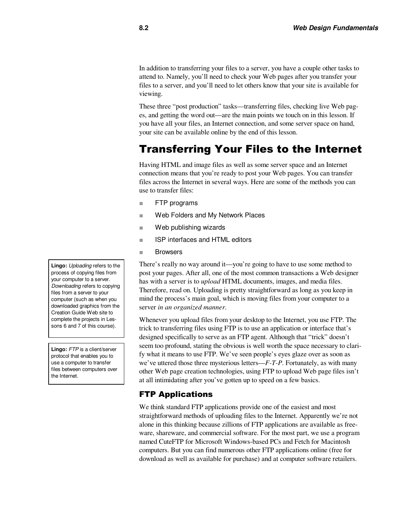In addition to transferring your files to a server, you have a couple other tasks to attend to. Namely, you'll need to check your Web pages after you transfer your files to a server, and you'll need to let others know that your site is available for viewing.

These three "post production" tasks—transferring files, checking live Web pages, and getting the word out—are the main points we touch on in this lesson. If you have all your files, an Internet connection, and some server space on hand, your site can be available online by the end of this lesson.

### Transferring Your Files to the Internet

Having HTML and image files as well as some server space and an Internet connection means that you're ready to post your Web pages. You can transfer files across the Internet in several ways. Here are some of the methods you can use to transfer files:

- FTP programs
- Web Folders and My Network Places
- Web publishing wizards
- ISP interfaces and HTML editors
- Browsers

There's really no way around it—you're going to have to use some method to post your pages. After all, one of the most common transactions a Web designer has with a server is to *upload* HTML documents, images, and media files. Therefore, read on. Uploading is pretty straightforward as long as you keep in mind the process's main goal, which is moving files from your computer to a server *in an organized manner*.

Whenever you upload files from your desktop to the Internet, you use FTP. The trick to transferring files using FTP is to use an application or interface that's designed specifically to serve as an FTP agent. Although that "trick" doesn't seem too profound, stating the obvious is well worth the space necessary to clarify what it means to use FTP. We've seen people's eyes glaze over as soon as we've uttered those three mysterious letters—*F-T-P*. Fortunately, as with many other Web page creation technologies, using FTP to upload Web page files isn't at all intimidating after you've gotten up to speed on a few basics.

#### FTP Applications

We think standard FTP applications provide one of the easiest and most straightforward methods of uploading files to the Internet. Apparently we're not alone in this thinking because zillions of FTP applications are available as freeware, shareware, and commercial software. For the most part, we use a program named CuteFTP for Microsoft Windows-based PCs and Fetch for Macintosh computers. But you can find numerous other FTP applications online (free for download as well as available for purchase) and at computer software retailers.

**Lingo:** Uploading refers to the process of copying files from your computer to a server. Downloading refers to copying files from a server to your computer (such as when you downloaded graphics from the Creation Guide Web site to complete the projects in Lessons 6 and 7 of this course).

**Lingo:** FTP is a client/server protocol that enables you to use a computer to transfer files between computers over the Internet.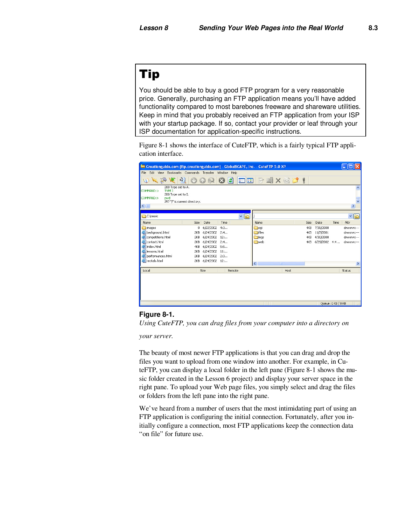### Tip

You should be able to buy a good FTP program for a very reasonable price. Generally, purchasing an FTP application means you'll have added functionality compared to most barebones freeware and shareware utilities. Keep in mind that you probably received an FTP application from your ISP with your startup package. If so, contact your provider or leaf through your ISP documentation for application-specific instructions.

Figure 8-1 shows the interface of CuteFTP, which is a fairly typical FTP application interface.

| <sup>68</sup> Creationguide.com (ftp.creationguide.com) - GlobalSCAPE, Inc. - CuteFTP 5.0 XP                                                                |                      |                            |                                                                    |      |                      |                             |
|-------------------------------------------------------------------------------------------------------------------------------------------------------------|----------------------|----------------------------|--------------------------------------------------------------------|------|----------------------|-----------------------------|
| File Edit View<br>Bookmarks Commands Transfer Window Help                                                                                                   |                      |                            |                                                                    |      |                      |                             |
| $\ddot{\circ}$<br>వళ                                                                                                                                        | 凤                    | $\boldsymbol{\omega}$<br>ß | <b>EEFIX of!</b>                                                   |      |                      |                             |
| 200 Type set to A.<br>COMMAND:><br><b>TYPE I</b><br>200 Type set to I.<br>COMMAND:><br>pwd<br>257 "/" is current directory,<br>$\left\langle \right\rangle$ |                      |                            |                                                                    |      |                      | ▸                           |
|                                                                                                                                                             |                      |                            |                                                                    |      |                      |                             |
| C:\music                                                                                                                                                    |                      | $\mathbf{v}$ a             |                                                                    |      |                      | $\mathbf{v}$ $\blacksquare$ |
| Name                                                                                                                                                        | Date<br><b>Size</b>  | Time                       | Name                                                               |      | Date<br><b>Size</b>  | Attr<br>Time                |
| images                                                                                                                                                      | 6/22/2002 4:3<br>0   |                            | <b>in</b> cgi                                                      |      | 7/31/2000<br>4KB     | drwxrwx---                  |
| background.html                                                                                                                                             | 6/24/2002 2:4<br>2KB |                            | <b>Thes</b>                                                        |      | 11/7/2001<br>4KB     | drwxrwx---                  |
| C competitions.html                                                                                                                                         | 6/24/2002<br>2KB     | 12:                        | <b>C</b> logs                                                      |      | 4/30/2000<br>4KB     | drwxrwx---                  |
| contact.html                                                                                                                                                | 6/24/2002 2:4<br>2KB |                            | web                                                                |      | 6/29/2002 4:4<br>4KB | drwxrwx---                  |
| index.html                                                                                                                                                  | 6/24/2002 5:5<br>4KB |                            |                                                                    |      |                      |                             |
| e lessons.html                                                                                                                                              | 6/24/2002 11:<br>2KB |                            |                                                                    |      |                      |                             |
| e performances.html                                                                                                                                         | 6/24/2002 2:3<br>2KB |                            |                                                                    |      |                      |                             |
| <b>C</b> recitals.html                                                                                                                                      | 6/24/2002 12:<br>2KB |                            |                                                                    |      |                      |                             |
|                                                                                                                                                             |                      |                            | $\left\vert \left\langle \right\vert \right\vert$<br><b>THE ST</b> |      |                      | $\rightarrow$               |
| Local                                                                                                                                                       | Size                 | Remote                     |                                                                    | Host |                      | Status                      |
|                                                                                                                                                             |                      |                            |                                                                    |      |                      |                             |
|                                                                                                                                                             |                      |                            | <b>THEFT</b>                                                       |      |                      | Queue: 0 KB / 0 KB          |

#### **Figure 8-1.**

*Using CuteFTP, you can drag files from your computer into a directory on* 

*your server.* 

The beauty of most newer FTP applications is that you can drag and drop the files you want to upload from one window into another. For example, in CuteFTP, you can display a local folder in the left pane (Figure 8-1 shows the music folder created in the Lesson 6 project) and display your server space in the right pane. To upload your Web page files, you simply select and drag the files or folders from the left pane into the right pane.

We've heard from a number of users that the most intimidating part of using an FTP application is configuring the initial connection. Fortunately, after you initially configure a connection, most FTP applications keep the connection data "on file" for future use.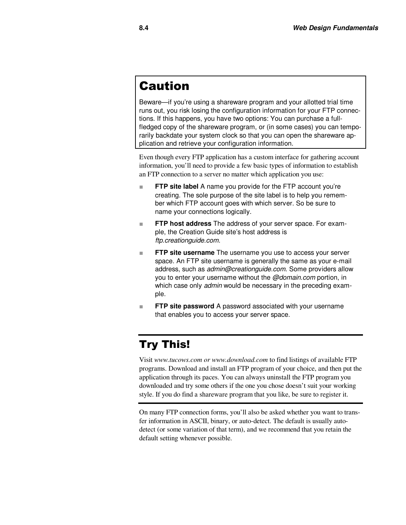# Caution

Beware—if you're using a shareware program and your allotted trial time runs out, you risk losing the configuration information for your FTP connections. If this happens, you have two options: You can purchase a fullfledged copy of the shareware program, or (in some cases) you can temporarily backdate your system clock so that you can open the shareware application and retrieve your configuration information.

Even though every FTP application has a custom interface for gathering account information, you'll need to provide a few basic types of information to establish an FTP connection to a server no matter which application you use:

- **FTP site label** A name you provide for the FTP account you're creating. The sole purpose of the site label is to help you remember which FTP account goes with which server. So be sure to name your connections logically.
- **FTP host address** The address of your server space. For example, the Creation Guide site's host address is ftp.creationguide.com.
- **FTP site username** The username you use to access your server space. An FTP site username is generally the same as your e-mail address, such as admin@creationguide.com. Some providers allow you to enter your username without the @domain.com portion, in which case only *admin* would be necessary in the preceding example.
- **FTP site password** A password associated with your username that enables you to access your server space.

### Try This!

Visit *www.tucows.com or www.download.com* to find listings of available FTP programs. Download and install an FTP program of your choice, and then put the application through its paces. You can always uninstall the FTP program you downloaded and try some others if the one you chose doesn't suit your working style. If you do find a shareware program that you like, be sure to register it.

On many FTP connection forms, you'll also be asked whether you want to transfer information in ASCII, binary, or auto-detect. The default is usually autodetect (or some variation of that term), and we recommend that you retain the default setting whenever possible.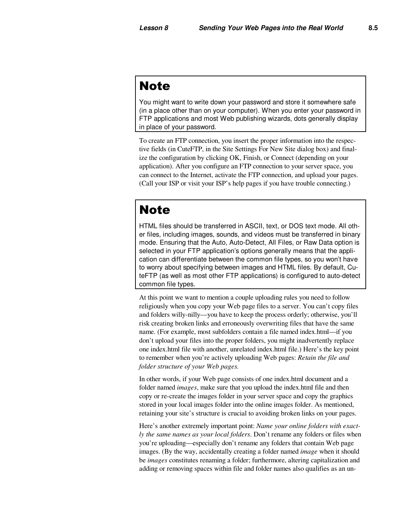### **Note**

You might want to write down your password and store it somewhere safe (in a place other than on your computer). When you enter your password in FTP applications and most Web publishing wizards, dots generally display in place of your password.

To create an FTP connection, you insert the proper information into the respective fields (in CuteFTP, in the Site Settings For New Site dialog box) and finalize the configuration by clicking OK, Finish, or Connect (depending on your application). After you configure an FTP connection to your server space, you can connect to the Internet, activate the FTP connection, and upload your pages. (Call your ISP or visit your ISP's help pages if you have trouble connecting.)

### **Note**

HTML files should be transferred in ASCII, text, or DOS text mode. All other files, including images, sounds, and videos must be transferred in binary mode. Ensuring that the Auto, Auto-Detect, All Files, or Raw Data option is selected in your FTP application's options generally means that the application can differentiate between the common file types, so you won't have to worry about specifying between images and HTML files. By default, CuteFTP (as well as most other FTP applications) is configured to auto-detect common file types.

At this point we want to mention a couple uploading rules you need to follow religiously when you copy your Web page files to a server. You can't copy files and folders willy-nilly—you have to keep the process orderly; otherwise, you'll risk creating broken links and erroneously overwriting files that have the same name. (For example, most subfolders contain a file named index.html—if you don't upload your files into the proper folders, you might inadvertently replace one index.html file with another, unrelated index.html file.) Here's the key point to remember when you're actively uploading Web pages: *Retain the file and folder structure of your Web pages.*

In other words, if your Web page consists of one index.html document and a folder named *images*, make sure that you upload the index.html file and then copy or re-create the images folder in your server space and copy the graphics stored in your local images folder into the online images folder. As mentioned, retaining your site's structure is crucial to avoiding broken links on your pages.

Here's another extremely important point: *Name your online folders with exactly the same names as your local folders*. Don't rename any folders or files when you're uploading—especially don't rename any folders that contain Web page images. (By the way, accidentally creating a folder named *image* when it should be *images* constitutes renaming a folder; furthermore, altering capitalization and adding or removing spaces within file and folder names also qualifies as an un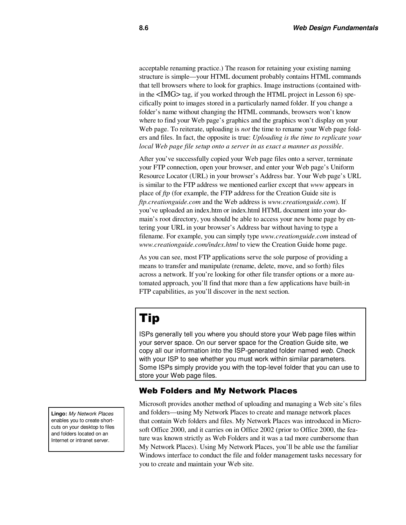acceptable renaming practice.) The reason for retaining your existing naming structure is simple—your HTML document probably contains HTML commands that tell browsers where to look for graphics. Image instructions (contained within the <IMG> tag, if you worked through the HTML project in Lesson 6) specifically point to images stored in a particularly named folder. If you change a folder's name without changing the HTML commands, browsers won't know where to find your Web page's graphics and the graphics won't display on your Web page. To reiterate, uploading is *not* the time to rename your Web page folders and files. In fact, the opposite is true: *Uploading is the time to replicate your local Web page file setup onto a server in as exact a manner as possible*.

After you've successfully copied your Web page files onto a server, terminate your FTP connection, open your browser, and enter your Web page's Uniform Resource Locator (URL) in your browser's Address bar. Your Web page's URL is similar to the FTP address we mentioned earlier except that *www* appears in place of *ftp* (for example, the FTP address for the Creation Guide site is *ftp.creationguide.com* and the Web address is *www.creationguide.com*). If you've uploaded an index.htm or index.html HTML document into your domain's root directory, you should be able to access your new home page by entering your URL in your browser's Address bar without having to type a filename. For example, you can simply type *www.creationguide.com* instead of *www.creationguide.com/index.html* to view the Creation Guide home page.

As you can see, most FTP applications serve the sole purpose of providing a means to transfer and manipulate (rename, delete, move, and so forth) files across a network. If you're looking for other file transfer options or a more automated approach, you'll find that more than a few applications have built-in FTP capabilities, as you'll discover in the next section.

# Tip

ISPs generally tell you where you should store your Web page files within your server space. On our server space for the Creation Guide site, we copy all our information into the ISP-generated folder named web. Check with your ISP to see whether you must work within similar parameters. Some ISPs simply provide you with the top-level folder that you can use to store your Web page files.

#### Web Folders and My Network Places

Microsoft provides another method of uploading and managing a Web site's files and folders—using My Network Places to create and manage network places that contain Web folders and files. My Network Places was introduced in Microsoft Office 2000, and it carries on in Office 2002 (prior to Office 2000, the feature was known strictly as Web Folders and it was a tad more cumbersome than My Network Places). Using My Network Places, you'll be able use the familiar Windows interface to conduct the file and folder management tasks necessary for you to create and maintain your Web site.

**Lingo:** My Network Places enables you to create shortcuts on your desktop to files and folders located on an Internet or intranet server.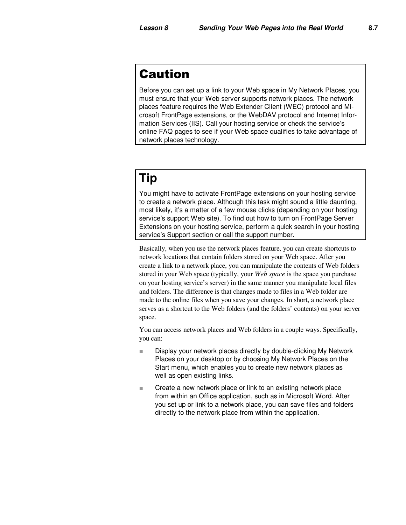### Caution

Before you can set up a link to your Web space in My Network Places, you must ensure that your Web server supports network places. The network places feature requires the Web Extender Client (WEC) protocol and Microsoft FrontPage extensions, or the WebDAV protocol and Internet Information Services (IIS). Call your hosting service or check the service's online FAQ pages to see if your Web space qualifies to take advantage of network places technology.

# **Tip**

You might have to activate FrontPage extensions on your hosting service to create a network place. Although this task might sound a little daunting, most likely, it's a matter of a few mouse clicks (depending on your hosting service's support Web site). To find out how to turn on FrontPage Server Extensions on your hosting service, perform a quick search in your hosting service's Support section or call the support number.

Basically, when you use the network places feature, you can create shortcuts to network locations that contain folders stored on your Web space. After you create a link to a network place, you can manipulate the contents of Web folders stored in your Web space (typically, your *Web space* is the space you purchase on your hosting service's server) in the same manner you manipulate local files and folders. The difference is that changes made to files in a Web folder are made to the online files when you save your changes. In short, a network place serves as a shortcut to the Web folders (and the folders' contents) on your server space.

You can access network places and Web folders in a couple ways. Specifically, you can:

- Display your network places directly by double-clicking My Network Places on your desktop or by choosing My Network Places on the Start menu, which enables you to create new network places as well as open existing links.
- Create a new network place or link to an existing network place from within an Office application, such as in Microsoft Word. After you set up or link to a network place, you can save files and folders directly to the network place from within the application.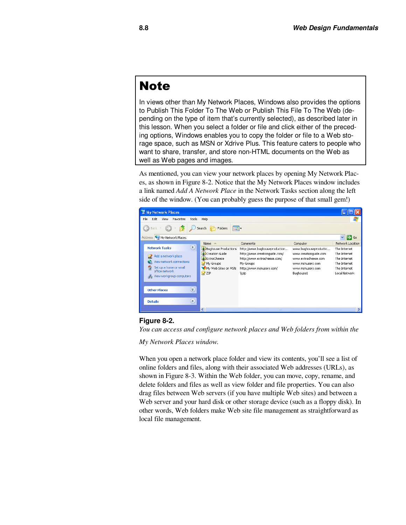### **Note**

In views other than My Network Places, Windows also provides the options to Publish This Folder To The Web or Publish This File To The Web (depending on the type of item that's currently selected), as described later in this lesson. When you select a folder or file and click either of the preceding options, Windows enables you to copy the folder or file to a Web storage space, such as MSN or Xdrive Plus. This feature caters to people who want to share, transfer, and store non-HTML documents on the Web as well as Web pages and images.

As mentioned, you can view your network places by opening My Network Places, as shown in Figure 8-2. Notice that the My Network Places window includes a link named *Add A Network Place* in the Network Tasks section along the left side of the window. (You can probably guess the purpose of that small gem!)



#### **Figure 8-2.**



*My Network Places window.* 

When you open a network place folder and view its contents, you'll see a list of online folders and files, along with their associated Web addresses (URLs), as shown in Figure 8-3. Within the Web folder, you can move, copy, rename, and delete folders and files as well as view folder and file properties. You can also drag files between Web servers (if you have multiple Web sites) and between a Web server and your hard disk or other storage device (such as a floppy disk). In other words, Web folders make Web site file management as straightforward as local file management.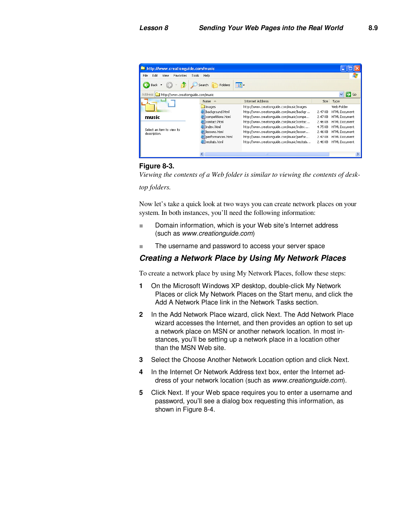

#### **Figure 8-3.**

*Viewing the contents of a Web folder is similar to viewing the contents of desk-*

*top folders.* 

Now let's take a quick look at two ways you can create network places on your system. In both instances, you'll need the following information:

- Domain information, which is your Web site's Internet address (such as www.creationguide.com)
- The username and password to access your server space

#### **Creating a Network Place by Using My Network Places**

To create a network place by using My Network Places, follow these steps:

- **1** On the Microsoft Windows XP desktop, double-click My Network Places or click My Network Places on the Start menu, and click the Add A Network Place link in the Network Tasks section.
- **2** In the Add Network Place wizard, click Next. The Add Network Place wizard accesses the Internet, and then provides an option to set up a network place on MSN or another network location. In most instances, you'll be setting up a network place in a location other than the MSN Web site.
- **3** Select the Choose Another Network Location option and click Next.
- **4** In the Internet Or Network Address text box, enter the Internet address of your network location (such as www.creationguide.com).
- **5** Click Next. If your Web space requires you to enter a username and password, you'll see a dialog box requesting this information, as shown in Figure 8-4.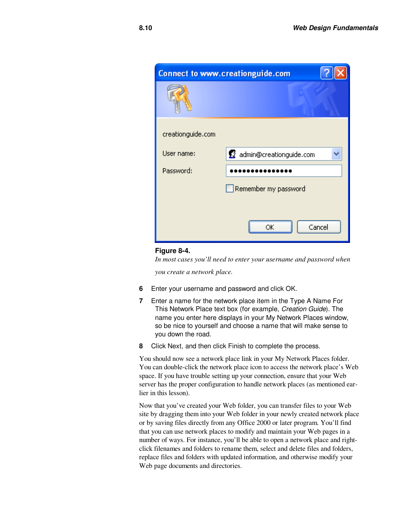| <b>Connect to www.creationguide.com</b> |                                  |
|-----------------------------------------|----------------------------------|
|                                         |                                  |
| creationguide.com                       |                                  |
| User name:                              | <b>R</b> admin@creationguide.com |
| Password:                               |                                  |
|                                         | Remember my password             |
|                                         | Cancel<br>ОК                     |

#### **Figure 8-4.**



*you create a network place.* 

- **6** Enter your username and password and click OK.
- **7** Enter a name for the network place item in the Type A Name For This Network Place text box (for example, Creation Guide). The name you enter here displays in your My Network Places window, so be nice to yourself and choose a name that will make sense to you down the road.
- **8** Click Next, and then click Finish to complete the process.

You should now see a network place link in your My Network Places folder. You can double-click the network place icon to access the network place's Web space. If you have trouble setting up your connection, ensure that your Web server has the proper configuration to handle network places (as mentioned earlier in this lesson).

Now that you've created your Web folder, you can transfer files to your Web site by dragging them into your Web folder in your newly created network place or by saving files directly from any Office 2000 or later program. You'll find that you can use network places to modify and maintain your Web pages in a number of ways. For instance, you'll be able to open a network place and rightclick filenames and folders to rename them, select and delete files and folders, replace files and folders with updated information, and otherwise modify your Web page documents and directories.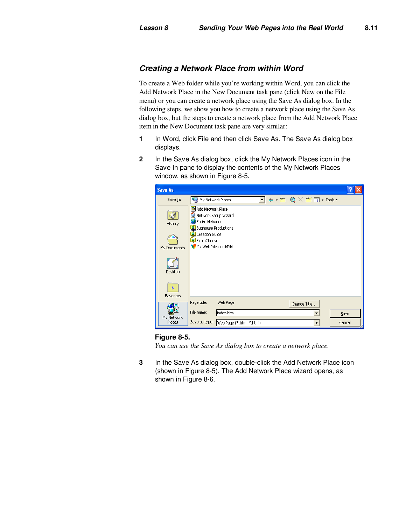#### **Creating a Network Place from within Word**

To create a Web folder while you're working within Word, you can click the Add Network Place in the New Document task pane (click New on the File menu) or you can create a network place using the Save As dialog box. In the following steps, we show you how to create a network place using the Save As dialog box, but the steps to create a network place from the Add Network Place item in the New Document task pane are very similar:

- **1** In Word, click File and then click Save As. The Save As dialog box displays.
- **2** In the Save As dialog box, click the My Network Places icon in the Save In pane to display the contents of the My Network Places window, as shown in Figure 8-5.



#### **Figure 8-5.**

*You can use the Save As dialog box to create a network place.* 

**3** In the Save As dialog box, double-click the Add Network Place icon (shown in Figure 8-5). The Add Network Place wizard opens, as shown in Figure 8-6.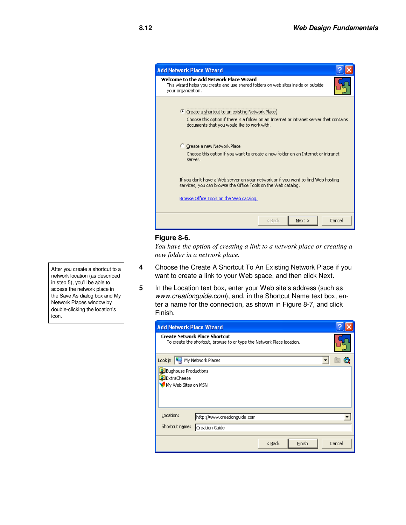| <b>Add Network Place Wizard</b>                                                                                                                                                               |        |
|-----------------------------------------------------------------------------------------------------------------------------------------------------------------------------------------------|--------|
| Welcome to the Add Network Place Wizard<br>This wizard helps you create and use shared folders on web sites inside or outside<br>your organization.                                           |        |
| Create a shortcut to an existing Network Place<br>Choose this option if there is a folder on an Internet or intranet server that contains<br>documents that you would like to work with.      |        |
| C Create a new Network Place<br>Choose this option if you want to create a new folder on an Internet or intranet<br>server.                                                                   |        |
| If you don't have a Web server on your network or if you want to find Web hosting<br>services, you can browse the Office Tools on the Web catalog.<br>Browse Office Tools on the Web catalog, |        |
| Next<br>$<$ Back                                                                                                                                                                              | Cancel |

#### **Figure 8-6.**

*You have the option of creating a link to a network place or creating a new folder in a network place.* 

- **4** Choose the Create A Shortcut To An Existing Network Place if you want to create a link to your Web space, and then click Next.
- **5** In the Location text box, enter your Web site's address (such as www.creationguide.com), and, in the Shortcut Name text box, enter a name for the connection, as shown in Figure 8-7, and click Finish.

| <b>Add Network Place Wizard</b>                                           |                                                                       |
|---------------------------------------------------------------------------|-----------------------------------------------------------------------|
| <b>Create Network Place Shortcut</b>                                      | To create the shortcut, browse to or type the Network Place location. |
| Look in: My Network Places                                                |                                                                       |
| Bughouse Productions<br><mark>©</mark> ExtraCheese<br>My Web Sites on MSN |                                                                       |
| Location:<br>http://www.creationguide.com                                 |                                                                       |
| Shortcut name:<br>Creation Guide                                          |                                                                       |
|                                                                           | Finish<br>Cancel<br>$<$ Back                                          |

After you create a shortcut to a network location (as described in step 5), you'll be able to access the network place in the Save As dialog box and My Network Places window by double-clicking the location's icon.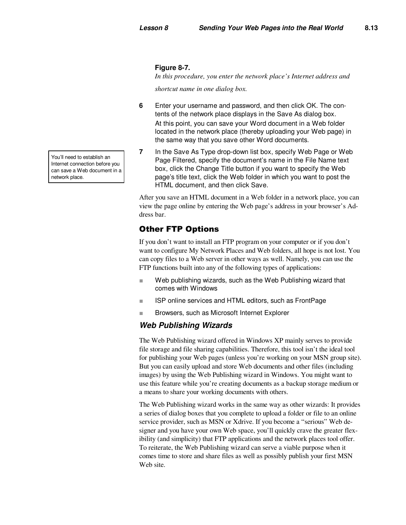#### **Figure 8-7.**

*In this procedure, you enter the network place's Internet address and* 

*shortcut name in one dialog box.* 

- **6** Enter your username and password, and then click OK. The contents of the network place displays in the Save As dialog box. At this point, you can save your Word document in a Web folder located in the network place (thereby uploading your Web page) in the same way that you save other Word documents.
- **7** In the Save As Type drop-down list box, specify Web Page or Web Page Filtered, specify the document's name in the File Name text box, click the Change Title button if you want to specify the Web page's title text, click the Web folder in which you want to post the HTML document, and then click Save.

After you save an HTML document in a Web folder in a network place, you can view the page online by entering the Web page's address in your browser's Address bar.

#### Other FTP Options

If you don't want to install an FTP program on your computer or if you don't want to configure My Network Places and Web folders, all hope is not lost. You can copy files to a Web server in other ways as well. Namely, you can use the FTP functions built into any of the following types of applications:

- Web publishing wizards, such as the Web Publishing wizard that comes with Windows
- ISP online services and HTML editors, such as FrontPage
- Browsers, such as Microsoft Internet Explorer

#### **Web Publishing Wizards**

The Web Publishing wizard offered in Windows XP mainly serves to provide file storage and file sharing capabilities. Therefore, this tool isn't the ideal tool for publishing your Web pages (unless you're working on your MSN group site). But you can easily upload and store Web documents and other files (including images) by using the Web Publishing wizard in Windows. You might want to use this feature while you're creating documents as a backup storage medium or a means to share your working documents with others.

The Web Publishing wizard works in the same way as other wizards: It provides a series of dialog boxes that you complete to upload a folder or file to an online service provider, such as MSN or Xdrive. If you become a "serious" Web designer and you have your own Web space, you'll quickly crave the greater flexibility (and simplicity) that FTP applications and the network places tool offer. To reiterate, the Web Publishing wizard can serve a viable purpose when it comes time to store and share files as well as possibly publish your first MSN Web site.

You'll need to establish an Internet connection before you can save a Web document in a network place.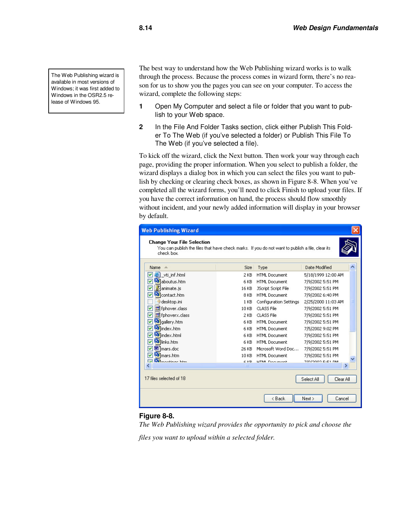The Web Publishing wizard is available in most versions of Windows; it was first added to Windows in the OSR2.5 release of Windows 95.

The best way to understand how the Web Publishing wizard works is to walk through the process. Because the process comes in wizard form, there's no reason for us to show you the pages you can see on your computer. To access the wizard, complete the following steps:

- **1** Open My Computer and select a file or folder that you want to publish to your Web space.
- **2** In the File And Folder Tasks section, click either Publish This Folder To The Web (if you've selected a folder) or Publish This File To The Web (if you've selected a file).

To kick off the wizard, click the Next button. Then work your way through each page, providing the proper information. When you select to publish a folder, the wizard displays a dialog box in which you can select the files you want to publish by checking or clearing check boxes, as shown in Figure 8-8. When you've completed all the wizard forms, you'll need to click Finish to upload your files. If you have the correct information on hand, the process should flow smoothly without incident, and your newly added information will display in your browser by default.

| Name<br>盀                     | Size                  | Type                     | Date Modified           |  |
|-------------------------------|-----------------------|--------------------------|-------------------------|--|
| vti_inf.html                  | 2KB                   | <b>HTML Document</b>     | 5/18/1999 12:00 AM      |  |
| aboutus.htm                   | 6 KB                  | <b>HTML</b> Document     | 7/9/2002 5:51 PM        |  |
| Sanimate.js<br>M              | 16 KB                 | JScript Script File      | 7/9/2002 5:51 PM        |  |
| contact.htm<br>⊽              | 8 KB                  | <b>HTML Document</b>     | 7/9/2002 6:40 PM        |  |
| desktop.ini                   | 1 KB                  | Configuration Settings   | 2/25/2000 11:03 AM      |  |
| 园 fphover.class<br>M          | 10 KB                 | CLASS File               | 7/9/2002 5:51 PM        |  |
| Fohoverx.class<br>M           | 2 KB                  | CLASS File               | 7/9/2002 5:51 PM        |  |
| gallery.htm<br>v              | 6 KB.                 | <b>HTML Document</b>     | 7/9/2002 5:51 PM        |  |
| index.htm<br>M                | 6 KB                  | <b>HTML Document</b>     | 7/5/2002 9:02 PM        |  |
| index.html<br>v               | 6 KB                  | <b>HTML Document</b>     | 7/9/2002 5:51 PM        |  |
| links.htm<br>M                | 6 KB.                 | <b>HTML Document</b>     | 7/9/2002 5:51 PM        |  |
| mars.doc                      |                       | 26 KB Microsoft Word Doc | 7/9/2002 5:51 PM        |  |
| mars.htm                      | 10 KB                 | <b>HTML Document</b>     | 7/9/2002 5:51 PM        |  |
| <b>Gilmontings</b> htm<br>न्ज | C VD.<br><b>TITLE</b> | <b>LITMI</b> Document    | <b>RAD FOOD COONING</b> |  |

#### **Figure 8-8.**

*The Web Publishing wizard provides the opportunity to pick and choose the* 

*files you want to upload within a selected folder.*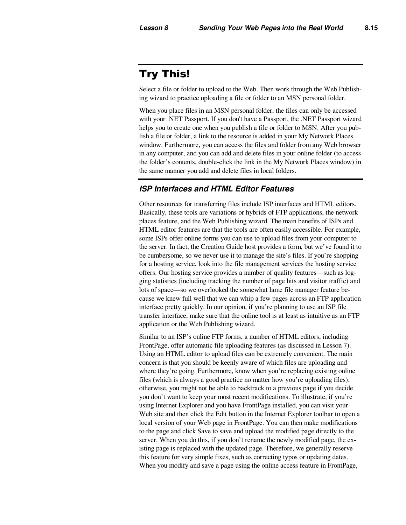### Try This!

Select a file or folder to upload to the Web. Then work through the Web Publishing wizard to practice uploading a file or folder to an MSN personal folder.

When you place files in an MSN personal folder, the files can only be accessed with your .NET Passport. If you don't have a Passport, the .NET Passport wizard helps you to create one when you publish a file or folder to MSN. After you publish a file or folder, a link to the resource is added in your My Network Places window. Furthermore, you can access the files and folder from any Web browser in any computer, and you can add and delete files in your online folder (to access the folder's contents, double-click the link in the My Network Places window) in the same manner you add and delete files in local folders.

#### **ISP Interfaces and HTML Editor Features**

Other resources for transferring files include ISP interfaces and HTML editors. Basically, these tools are variations or hybrids of FTP applications, the network places feature, and the Web Publishing wizard. The main benefits of ISPs and HTML editor features are that the tools are often easily accessible. For example, some ISPs offer online forms you can use to upload files from your computer to the server. In fact, the Creation Guide host provides a form, but we've found it to be cumbersome, so we never use it to manage the site's files. If you're shopping for a hosting service, look into the file management services the hosting service offers. Our hosting service provides a number of quality features—such as logging statistics (including tracking the number of page hits and visitor traffic) and lots of space—so we overlooked the somewhat lame file manager feature because we knew full well that we can whip a few pages across an FTP application interface pretty quickly. In our opinion, if you're planning to use an ISP file transfer interface, make sure that the online tool is at least as intuitive as an FTP application or the Web Publishing wizard.

Similar to an ISP's online FTP forms, a number of HTML editors, including FrontPage, offer automatic file uploading features (as discussed in Lesson 7). Using an HTML editor to upload files can be extremely convenient. The main concern is that you should be keenly aware of which files are uploading and where they're going. Furthermore, know when you're replacing existing online files (which is always a good practice no matter how you're uploading files); otherwise, you might not be able to backtrack to a previous page if you decide you don't want to keep your most recent modifications. To illustrate, if you're using Internet Explorer and you have FrontPage installed, you can visit your Web site and then click the Edit button in the Internet Explorer toolbar to open a local version of your Web page in FrontPage. You can then make modifications to the page and click Save to save and upload the modified page directly to the server. When you do this, if you don't rename the newly modified page, the existing page is replaced with the updated page. Therefore, we generally reserve this feature for very simple fixes, such as correcting typos or updating dates. When you modify and save a page using the online access feature in FrontPage,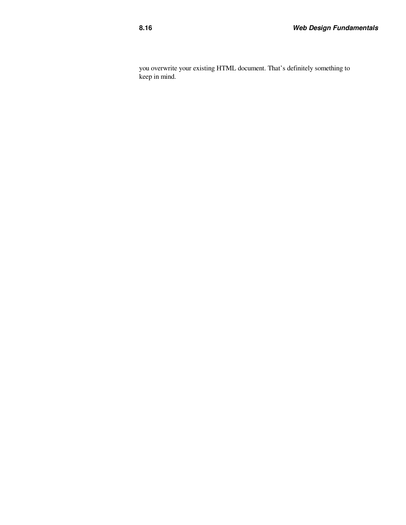you overwrite your existing HTML document. That's definitely something to keep in mind.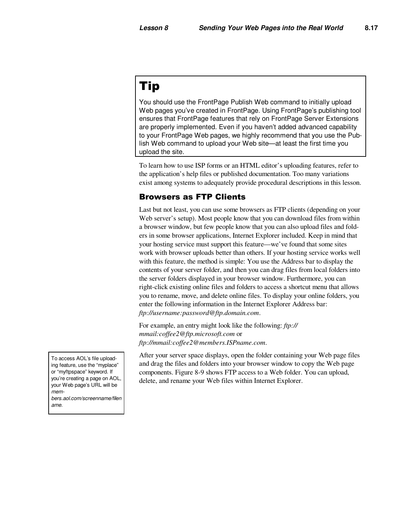## Tip

You should use the FrontPage Publish Web command to initially upload Web pages you've created in FrontPage. Using FrontPage's publishing tool ensures that FrontPage features that rely on FrontPage Server Extensions are properly implemented. Even if you haven't added advanced capability to your FrontPage Web pages, we highly recommend that you use the Publish Web command to upload your Web site—at least the first time you upload the site.

To learn how to use ISP forms or an HTML editor's uploading features, refer to the application's help files or published documentation. Too many variations exist among systems to adequately provide procedural descriptions in this lesson.

#### Browsers as FTP Clients

Last but not least, you can use some browsers as FTP clients (depending on your Web server's setup). Most people know that you can download files from within a browser window, but few people know that you can also upload files and folders in some browser applications, Internet Explorer included. Keep in mind that your hosting service must support this feature—we've found that some sites work with browser uploads better than others. If your hosting service works well with this feature, the method is simple: You use the Address bar to display the contents of your server folder, and then you can drag files from local folders into the server folders displayed in your browser window. Furthermore, you can right-click existing online files and folders to access a shortcut menu that allows you to rename, move, and delete online files. To display your online folders, you enter the following information in the Internet Explorer Address bar: *ftp://username:password@ftp.domain.com*.

For example, an entry might look like the following: *ftp:// mmail:coffee2@ftp.microsoft.com* or *ftp://mmail:coffee2@members.ISPname.com*.

After your server space displays, open the folder containing your Web page files and drag the files and folders into your browser window to copy the Web page components. Figure 8-9 shows FTP access to a Web folder. You can upload, delete, and rename your Web files within Internet Explorer.

To access AOL's file uploading feature, use the "myplace" or "myftpspace" keyword. If you're creating a page on AOL, your Web page's URL will be mem-

bers.aol.com/screenname/filen ame.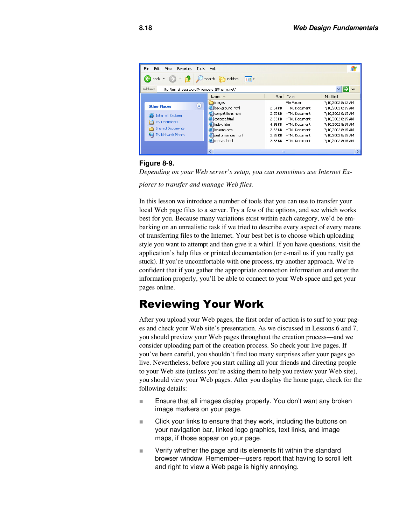

#### **Figure 8-9.**

*Depending on your Web server's setup, you can sometimes use Internet Ex-*

*plorer to transfer and manage Web files.* 

In this lesson we introduce a number of tools that you can use to transfer your local Web page files to a server. Try a few of the options, and see which works best for you. Because many variations exist within each category, we'd be embarking on an unrealistic task if we tried to describe every aspect of every means of transferring files to the Internet. Your best bet is to choose which uploading style you want to attempt and then give it a whirl. If you have questions, visit the application's help files or printed documentation (or e-mail us if you really get stuck). If you're uncomfortable with one process, try another approach. We're confident that if you gather the appropriate connection information and enter the information properly, you'll be able to connect to your Web space and get your pages online.

### Reviewing Your Work

After you upload your Web pages, the first order of action is to surf to your pages and check your Web site's presentation. As we discussed in Lessons 6 and 7, you should preview your Web pages throughout the creation process—and we consider uploading part of the creation process. So check your live pages. If you've been careful, you shouldn't find too many surprises after your pages go live. Nevertheless, before you start calling all your friends and directing people to your Web site (unless you're asking them to help you review your Web site), you should view your Web pages. After you display the home page, check for the following details:

- Ensure that all images display properly. You don't want any broken image markers on your page.
- Click your links to ensure that they work, including the buttons on your navigation bar, linked logo graphics, text links, and image maps, if those appear on your page.
- Verify whether the page and its elements fit within the standard browser window. Remember—users report that having to scroll left and right to view a Web page is highly annoying.